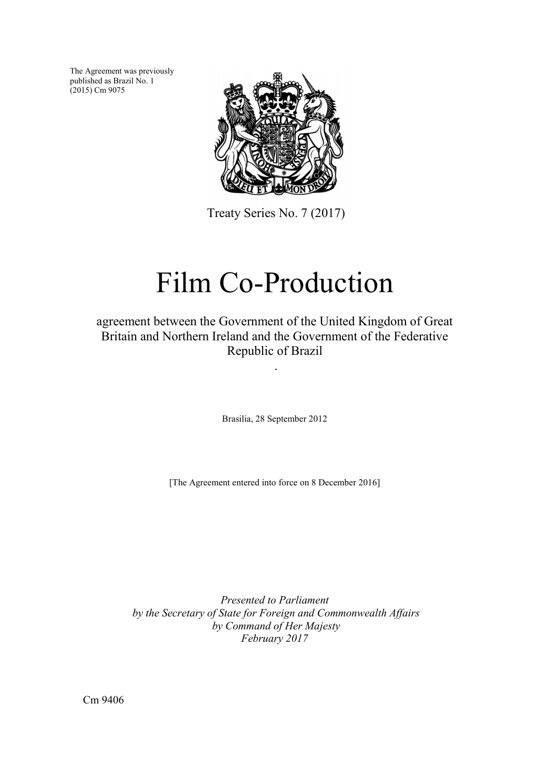The Agreement was previously published as Brazil No. 1  $(2015)$  Cm 9075



Treaty Series No. 7 (2017)

# Film Co-Production

# agreement between the Government of the United Kingdom of Great Britain and Northern Ireland and the Government of the Federative Republic of Brazil

.

Brasilia, 28 September 2012

[The Agreement entered into force on 8 December 2016]

*Presented to Parliament by the Secretary of State for Foreign and Commonwealth Affairs by Command of Her Majesty February 2017* 

Cm 9406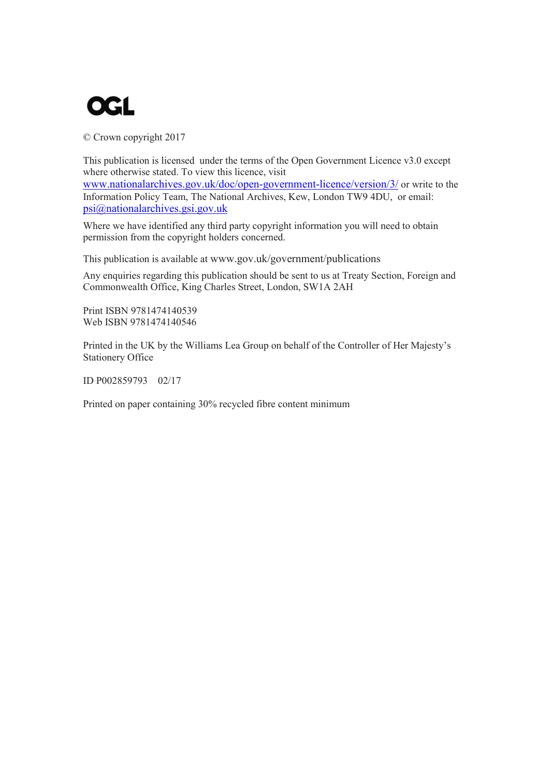

© Crown copyright 2017

This publication is licensed under the terms of the Open Government Licence v3.0 except where otherwise stated. To view this licence, visit [www.nationalarchives.gov.uk/doc/open-government-licence/version/3/](http://www.nationalarchives.gov.uk/doc/open-government-licence/version/3/) or write to the Information Policy Team, The National Archives, Kew, London TW9 4DU, or email: [psi@nationalarchives.gsi.gov.uk](mailto:psi@nationalarchives.gsi.gov.uk)

Where we have identified any third party copyright information you will need to obtain permission from the copyright holders concerned.

This publication is available at [www.gov.uk/government/publications](http://www.gov.uk/government/publications) 

Any enquiries regarding this publication should be sent to us at Treaty Section, Foreign and Commonwealth Office, King Charles Street, London, SW1A 2AH

Print ISBN 9781474140539 Web ISBN 9781474140546

Printed in the UK by the Williams Lea Group on behalf of the Controller of Her Majesty's Stationery Office

ID P002859793 02/17

Printed on paper containing 30% recycled fibre content minimum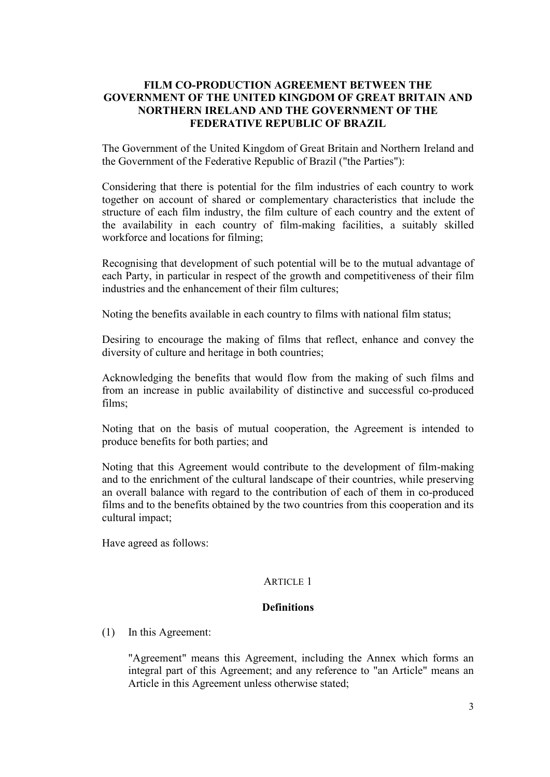#### **FILM CO-PRODUCTION AGREEMENT BETWEEN THE GOVERNMENT OF THE UNITED KINGDOM OF GREAT BRITAIN AND NORTHERN IRELAND AND THE GOVERNMENT OF THE FEDERATIVE REPUBLIC OF BRAZIL**

The Government of the United Kingdom of Great Britain and Northern Ireland and the Government of the Federative Republic of Brazil ("the Parties"):

Considering that there is potential for the film industries of each country to work together on account of shared or complementary characteristics that include the structure of each film industry, the film culture of each country and the extent of the availability in each country of film-making facilities, a suitably skilled workforce and locations for filming;

Recognising that development of such potential will be to the mutual advantage of each Party, in particular in respect of the growth and competitiveness of their film industries and the enhancement of their film cultures;

Noting the benefits available in each country to films with national film status;

Desiring to encourage the making of films that reflect, enhance and convey the diversity of culture and heritage in both countries;

Acknowledging the benefits that would flow from the making of such films and from an increase in public availability of distinctive and successful co-produced films;

Noting that on the basis of mutual cooperation, the Agreement is intended to produce benefits for both parties; and

Noting that this Agreement would contribute to the development of film-making and to the enrichment of the cultural landscape of their countries, while preserving an overall balance with regard to the contribution of each of them in co-produced films and to the benefits obtained by the two countries from this cooperation and its cultural impact;

Have agreed as follows:

#### ARTICLE 1

#### **Definitions**

(1) In this Agreement:

"Agreement" means this Agreement, including the Annex which forms an integral part of this Agreement; and any reference to "an Article" means an Article in this Agreement unless otherwise stated;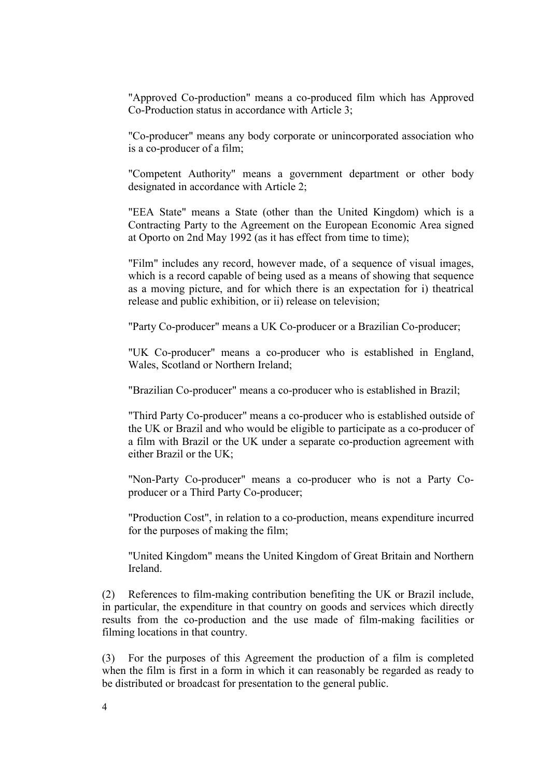"Approved Co-production" means a co-produced film which has Approved Co-Production status in accordance with Article 3;

"Co-producer" means any body corporate or unincorporated association who is a co-producer of a film;

"Competent Authority" means a government department or other body designated in accordance with Article 2;

"EEA State" means a State (other than the United Kingdom) which is a Contracting Party to the Agreement on the European Economic Area signed at Oporto on 2nd May 1992 (as it has effect from time to time);

"Film" includes any record, however made, of a sequence of visual images, which is a record capable of being used as a means of showing that sequence as a moving picture, and for which there is an expectation for i) theatrical release and public exhibition, or ii) release on television;

"Party Co-producer" means a UK Co-producer or a Brazilian Co-producer;

"UK Co-producer" means a co-producer who is established in England, Wales, Scotland or Northern Ireland;

"Brazilian Co-producer" means a co-producer who is established in Brazil;

"Third Party Co-producer" means a co-producer who is established outside of the UK or Brazil and who would be eligible to participate as a co-producer of a film with Brazil or the UK under a separate co-production agreement with either Brazil or the UK;

"Non-Party Co-producer" means a co-producer who is not a Party Coproducer or a Third Party Co-producer;

"Production Cost", in relation to a co-production, means expenditure incurred for the purposes of making the film;

"United Kingdom" means the United Kingdom of Great Britain and Northern Ireland.

(2) References to film-making contribution benefiting the UK or Brazil include, in particular, the expenditure in that country on goods and services which directly results from the co-production and the use made of film-making facilities or filming locations in that country.

(3) For the purposes of this Agreement the production of a film is completed when the film is first in a form in which it can reasonably be regarded as ready to be distributed or broadcast for presentation to the general public.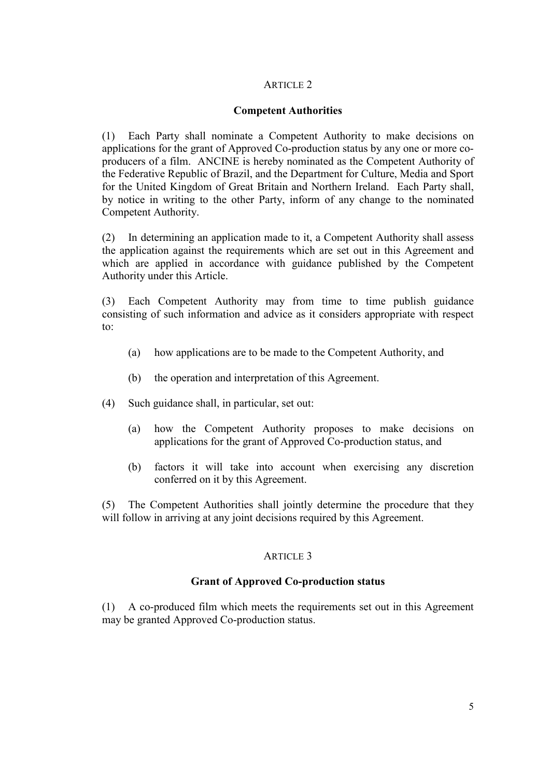# **Competent Authorities**

(1) Each Party shall nominate a Competent Authority to make decisions on applications for the grant of Approved Co-production status by any one or more coproducers of a film. ANCINE is hereby nominated as the Competent Authority of the Federative Republic of Brazil, and the Department for Culture, Media and Sport for the United Kingdom of Great Britain and Northern Ireland. Each Party shall, by notice in writing to the other Party, inform of any change to the nominated Competent Authority.

(2) In determining an application made to it, a Competent Authority shall assess the application against the requirements which are set out in this Agreement and which are applied in accordance with guidance published by the Competent Authority under this Article.

(3) Each Competent Authority may from time to time publish guidance consisting of such information and advice as it considers appropriate with respect to:

- (a) how applications are to be made to the Competent Authority, and
- (b) the operation and interpretation of this Agreement.
- (4) Such guidance shall, in particular, set out:
	- (a) how the Competent Authority proposes to make decisions on applications for the grant of Approved Co-production status, and
	- (b) factors it will take into account when exercising any discretion conferred on it by this Agreement.

(5) The Competent Authorities shall jointly determine the procedure that they will follow in arriving at any joint decisions required by this Agreement.

# ARTICLE 3

#### **Grant of Approved Co-production status**

(1) A co-produced film which meets the requirements set out in this Agreement may be granted Approved Co-production status.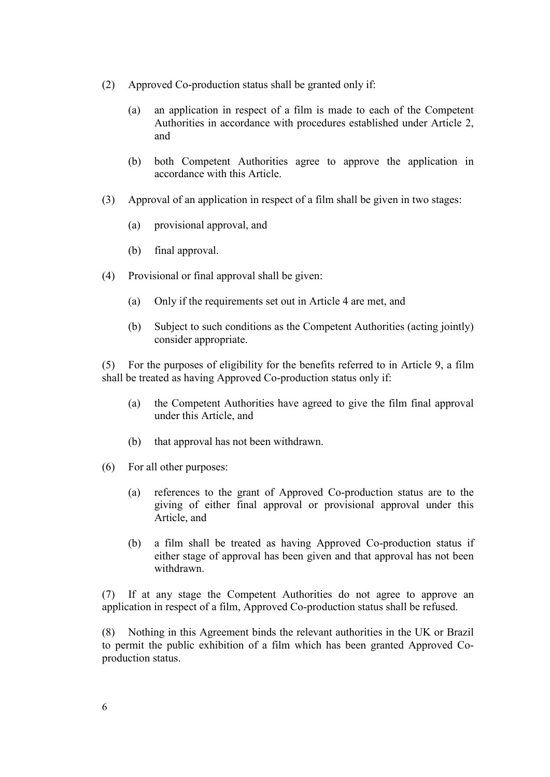- (2) Approved Co-production status shall be granted only if:
	- (a) an application in respect of a film is made to each of the Competent Authorities in accordance with procedures established under Article 2, and
	- (b) both Competent Authorities agree to approve the application in accordance with this Article.
- (3) Approval of an application in respect of a film shall be given in two stages:
	- (a) provisional approval, and
	- (b) final approval.
- (4) Provisional or final approval shall be given:
	- (a) Only if the requirements set out in Article 4 are met, and
	- (b) Subject to such conditions as the Competent Authorities (acting jointly) consider appropriate.

(5) For the purposes of eligibility for the benefits referred to in Article 9, a film shall be treated as having Approved Co-production status only if:

- (a) the Competent Authorities have agreed to give the film final approval under this Article, and
- (b) that approval has not been withdrawn.
- (6) For all other purposes:
	- (a) references to the grant of Approved Co-production status are to the giving of either final approval or provisional approval under this Article, and
	- (b) a film shall be treated as having Approved Co-production status if either stage of approval has been given and that approval has not been withdrawn.

(7) If at any stage the Competent Authorities do not agree to approve an application in respect of a film, Approved Co-production status shall be refused.

(8) Nothing in this Agreement binds the relevant authorities in the UK or Brazil to permit the public exhibition of a film which has been granted Approved Coproduction status.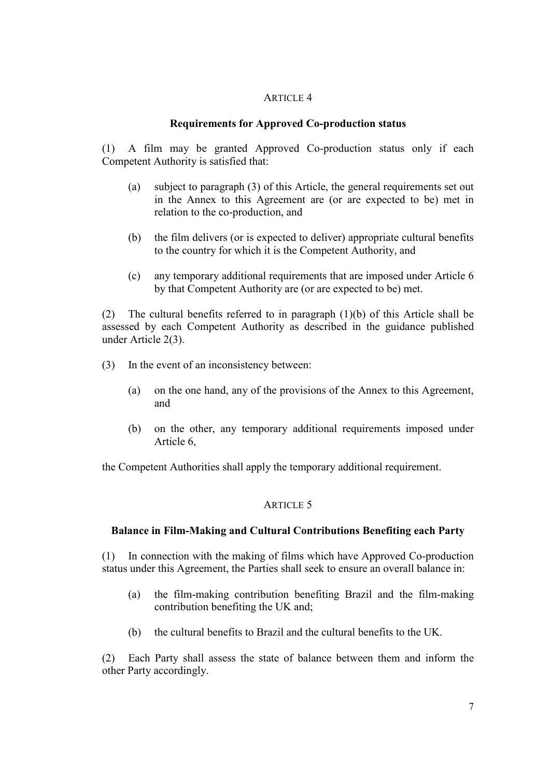#### **Requirements for Approved Co-production status**

(1) A film may be granted Approved Co-production status only if each Competent Authority is satisfied that:

- (a) subject to paragraph (3) of this Article, the general requirements set out in the Annex to this Agreement are (or are expected to be) met in relation to the co-production, and
- (b) the film delivers (or is expected to deliver) appropriate cultural benefits to the country for which it is the Competent Authority, and
- (c) any temporary additional requirements that are imposed under Article 6 by that Competent Authority are (or are expected to be) met.

(2) The cultural benefits referred to in paragraph (1)(b) of this Article shall be assessed by each Competent Authority as described in the guidance published under Article 2(3).

- (3) In the event of an inconsistency between:
	- (a) on the one hand, any of the provisions of the Annex to this Agreement, and
	- (b) on the other, any temporary additional requirements imposed under Article 6,

the Competent Authorities shall apply the temporary additional requirement.

#### ARTICLE 5

#### **Balance in Film-Making and Cultural Contributions Benefiting each Party**

(1) In connection with the making of films which have Approved Co-production status under this Agreement, the Parties shall seek to ensure an overall balance in:

- (a) the film-making contribution benefiting Brazil and the film-making contribution benefiting the UK and;
- (b) the cultural benefits to Brazil and the cultural benefits to the UK.

(2) Each Party shall assess the state of balance between them and inform the other Party accordingly.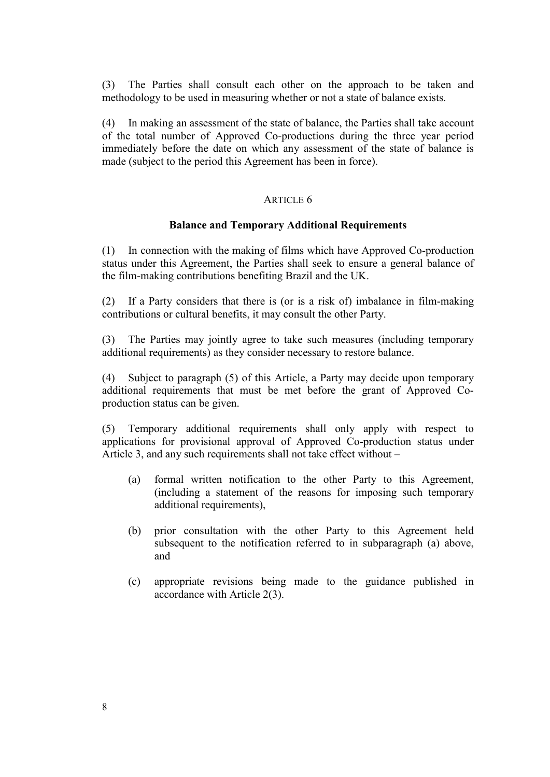(3) The Parties shall consult each other on the approach to be taken and methodology to be used in measuring whether or not a state of balance exists.

(4) In making an assessment of the state of balance, the Parties shall take account of the total number of Approved Co-productions during the three year period immediately before the date on which any assessment of the state of balance is made (subject to the period this Agreement has been in force).

#### ARTICLE 6

#### **Balance and Temporary Additional Requirements**

(1) In connection with the making of films which have Approved Co-production status under this Agreement, the Parties shall seek to ensure a general balance of the film-making contributions benefiting Brazil and the UK.

(2) If a Party considers that there is (or is a risk of) imbalance in film-making contributions or cultural benefits, it may consult the other Party.

(3) The Parties may jointly agree to take such measures (including temporary additional requirements) as they consider necessary to restore balance.

(4) Subject to paragraph (5) of this Article, a Party may decide upon temporary additional requirements that must be met before the grant of Approved Coproduction status can be given.

(5) Temporary additional requirements shall only apply with respect to applications for provisional approval of Approved Co-production status under Article 3, and any such requirements shall not take effect without –

- (a) formal written notification to the other Party to this Agreement, (including a statement of the reasons for imposing such temporary additional requirements),
- (b) prior consultation with the other Party to this Agreement held subsequent to the notification referred to in subparagraph (a) above, and
- (c) appropriate revisions being made to the guidance published in accordance with Article 2(3).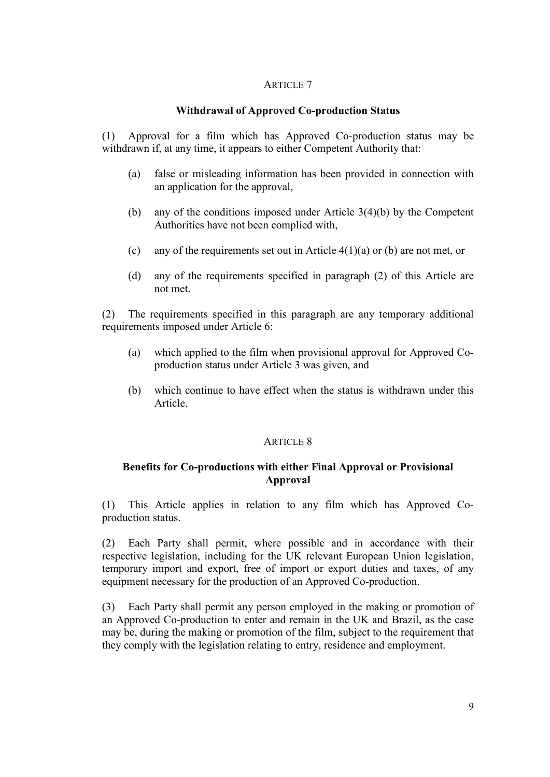### **Withdrawal of Approved Co-production Status**

(1) Approval for a film which has Approved Co-production status may be withdrawn if, at any time, it appears to either Competent Authority that:

- (a) false or misleading information has been provided in connection with an application for the approval,
- (b) any of the conditions imposed under Article 3(4)(b) by the Competent Authorities have not been complied with,
- (c) any of the requirements set out in Article 4(1)(a) or (b) are not met, or
- (d) any of the requirements specified in paragraph (2) of this Article are not met.

(2) The requirements specified in this paragraph are any temporary additional requirements imposed under Article 6:

- (a) which applied to the film when provisional approval for Approved Coproduction status under Article 3 was given, and
- (b) which continue to have effect when the status is withdrawn under this Article.

#### ARTICLE 8

# **Benefits for Co-productions with either Final Approval or Provisional Approval**

(1) This Article applies in relation to any film which has Approved Coproduction status.

(2) Each Party shall permit, where possible and in accordance with their respective legislation, including for the UK relevant European Union legislation, temporary import and export, free of import or export duties and taxes, of any equipment necessary for the production of an Approved Co-production.

(3) Each Party shall permit any person employed in the making or promotion of an Approved Co-production to enter and remain in the UK and Brazil, as the case may be, during the making or promotion of the film, subject to the requirement that they comply with the legislation relating to entry, residence and employment.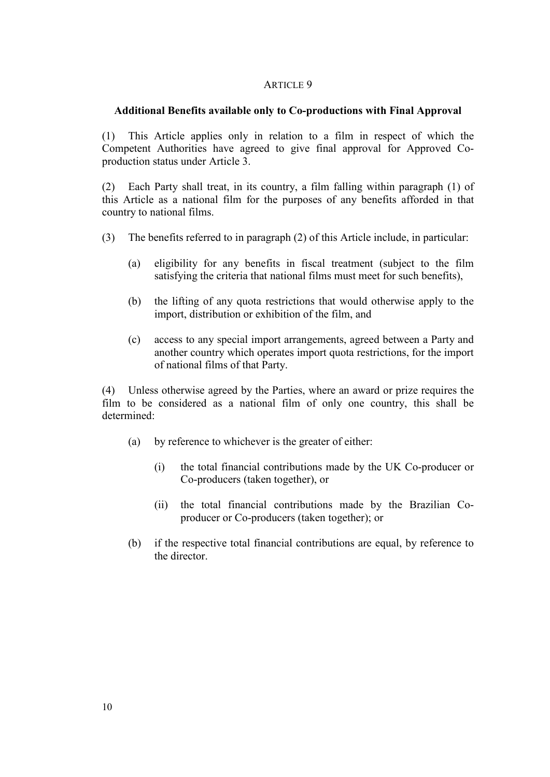#### **Additional Benefits available only to Co-productions with Final Approval**

(1) This Article applies only in relation to a film in respect of which the Competent Authorities have agreed to give final approval for Approved Coproduction status under Article 3.

(2) Each Party shall treat, in its country, a film falling within paragraph (1) of this Article as a national film for the purposes of any benefits afforded in that country to national films.

- (3) The benefits referred to in paragraph (2) of this Article include, in particular:
	- (a) eligibility for any benefits in fiscal treatment (subject to the film satisfying the criteria that national films must meet for such benefits),
	- (b) the lifting of any quota restrictions that would otherwise apply to the import, distribution or exhibition of the film, and
	- (c) access to any special import arrangements, agreed between a Party and another country which operates import quota restrictions, for the import of national films of that Party.

(4) Unless otherwise agreed by the Parties, where an award or prize requires the film to be considered as a national film of only one country, this shall be determined:

- (a) by reference to whichever is the greater of either:
	- (i) the total financial contributions made by the UK Co-producer or Co-producers (taken together), or
	- (ii) the total financial contributions made by the Brazilian Coproducer or Co-producers (taken together); or
- (b) if the respective total financial contributions are equal, by reference to the director.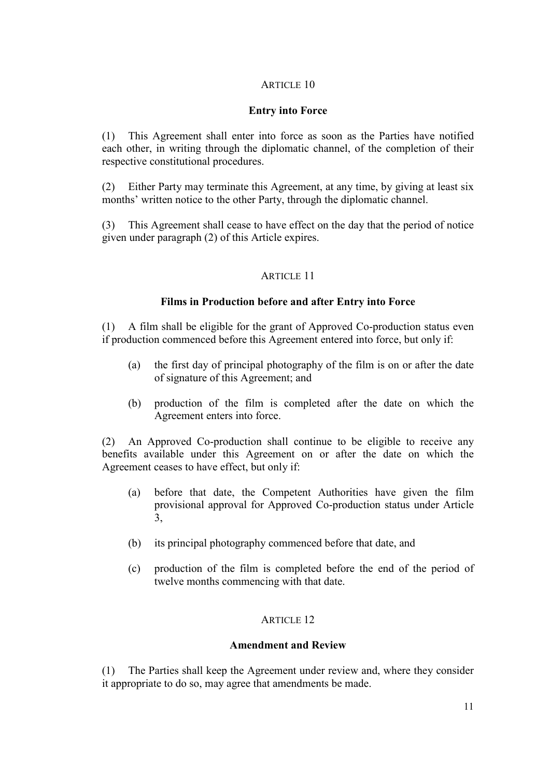# **Entry into Force**

(1) This Agreement shall enter into force as soon as the Parties have notified each other, in writing through the diplomatic channel, of the completion of their respective constitutional procedures.

(2) Either Party may terminate this Agreement, at any time, by giving at least six months' written notice to the other Party, through the diplomatic channel.

(3) This Agreement shall cease to have effect on the day that the period of notice given under paragraph (2) of this Article expires.

#### ARTICLE 11

# **Films in Production before and after Entry into Force**

(1) A film shall be eligible for the grant of Approved Co-production status even if production commenced before this Agreement entered into force, but only if:

- (a) the first day of principal photography of the film is on or after the date of signature of this Agreement; and
- (b) production of the film is completed after the date on which the Agreement enters into force.

(2) An Approved Co-production shall continue to be eligible to receive any benefits available under this Agreement on or after the date on which the Agreement ceases to have effect, but only if:

- (a) before that date, the Competent Authorities have given the film provisional approval for Approved Co-production status under Article 3,
- (b) its principal photography commenced before that date, and
- (c) production of the film is completed before the end of the period of twelve months commencing with that date.

#### ARTICLE 12

#### **Amendment and Review**

(1) The Parties shall keep the Agreement under review and, where they consider it appropriate to do so, may agree that amendments be made.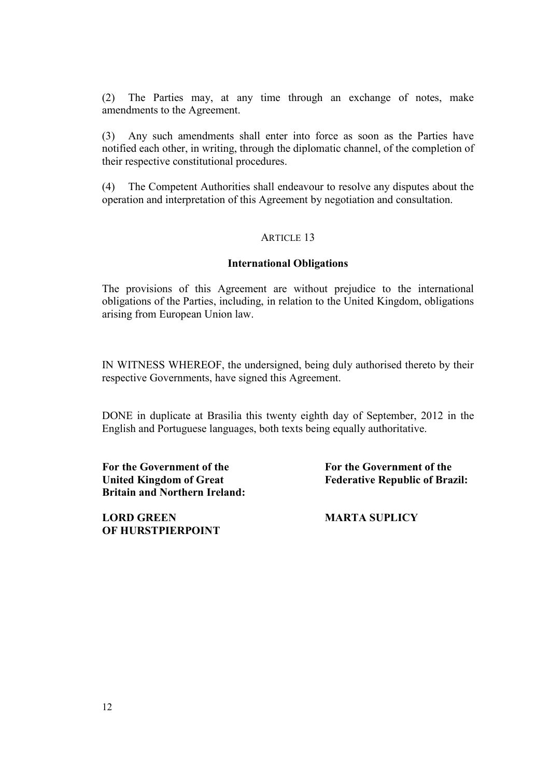(2) The Parties may, at any time through an exchange of notes, make amendments to the Agreement.

(3) Any such amendments shall enter into force as soon as the Parties have notified each other, in writing, through the diplomatic channel, of the completion of their respective constitutional procedures.

(4) The Competent Authorities shall endeavour to resolve any disputes about the operation and interpretation of this Agreement by negotiation and consultation.

#### ARTICLE 13

#### **International Obligations**

The provisions of this Agreement are without prejudice to the international obligations of the Parties, including, in relation to the United Kingdom, obligations arising from European Union law.

IN WITNESS WHEREOF, the undersigned, being duly authorised thereto by their respective Governments, have signed this Agreement.

DONE in duplicate at Brasilia this twenty eighth day of September, 2012 in the English and Portuguese languages, both texts being equally authoritative.

**For the Government of the United Kingdom of Great Britain and Northern Ireland:**

**LORD GREEN OF HURSTPIERPOINT** **For the Government of the Federative Republic of Brazil:**

**MARTA SUPLICY**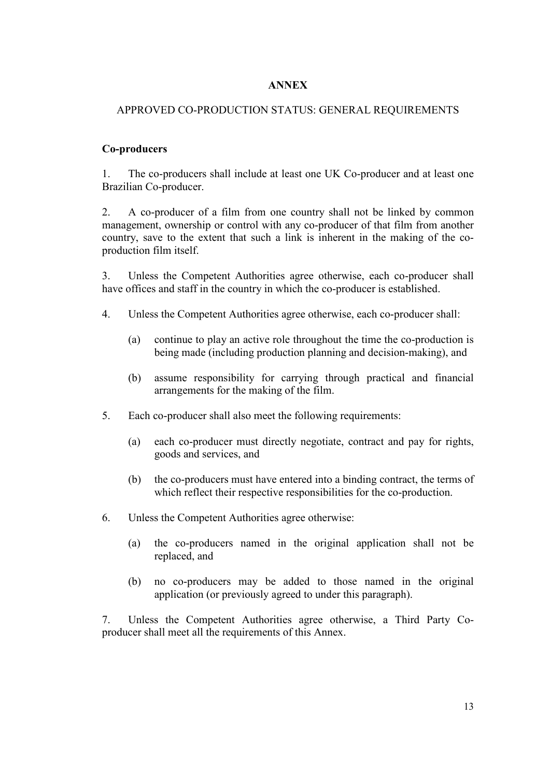# **ANNEX**

# APPROVED CO-PRODUCTION STATUS: GENERAL REQUIREMENTS

### **Co-producers**

1. The co-producers shall include at least one UK Co-producer and at least one Brazilian Co-producer.

2. A co-producer of a film from one country shall not be linked by common management, ownership or control with any co-producer of that film from another country, save to the extent that such a link is inherent in the making of the coproduction film itself.

3. Unless the Competent Authorities agree otherwise, each co-producer shall have offices and staff in the country in which the co-producer is established.

- 4. Unless the Competent Authorities agree otherwise, each co-producer shall:
	- (a) continue to play an active role throughout the time the co-production is being made (including production planning and decision-making), and
	- (b) assume responsibility for carrying through practical and financial arrangements for the making of the film.
- 5. Each co-producer shall also meet the following requirements:
	- (a) each co-producer must directly negotiate, contract and pay for rights, goods and services, and
	- (b) the co-producers must have entered into a binding contract, the terms of which reflect their respective responsibilities for the co-production.
- 6. Unless the Competent Authorities agree otherwise:
	- (a) the co-producers named in the original application shall not be replaced, and
	- (b) no co-producers may be added to those named in the original application (or previously agreed to under this paragraph).

7. Unless the Competent Authorities agree otherwise, a Third Party Coproducer shall meet all the requirements of this Annex.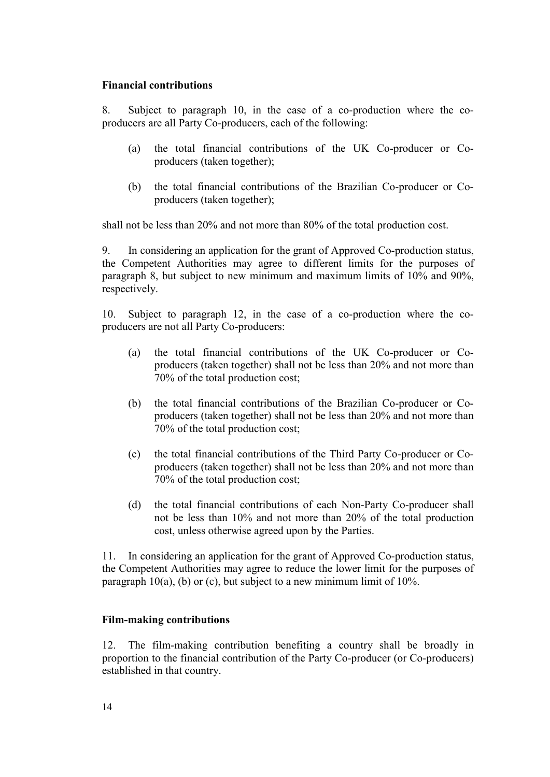#### **Financial contributions**

8. Subject to paragraph 10, in the case of a co-production where the coproducers are all Party Co-producers, each of the following:

- (a) the total financial contributions of the UK Co-producer or Coproducers (taken together);
- (b) the total financial contributions of the Brazilian Co-producer or Coproducers (taken together);

shall not be less than 20% and not more than 80% of the total production cost.

9. In considering an application for the grant of Approved Co-production status, the Competent Authorities may agree to different limits for the purposes of paragraph 8, but subject to new minimum and maximum limits of 10% and 90%, respectively.

10. Subject to paragraph 12, in the case of a co-production where the coproducers are not all Party Co-producers:

- (a) the total financial contributions of the UK Co-producer or Coproducers (taken together) shall not be less than 20% and not more than 70% of the total production cost;
- (b) the total financial contributions of the Brazilian Co-producer or Coproducers (taken together) shall not be less than 20% and not more than 70% of the total production cost;
- (c) the total financial contributions of the Third Party Co-producer or Coproducers (taken together) shall not be less than 20% and not more than 70% of the total production cost;
- (d) the total financial contributions of each Non-Party Co-producer shall not be less than 10% and not more than 20% of the total production cost, unless otherwise agreed upon by the Parties.

11. In considering an application for the grant of Approved Co-production status, the Competent Authorities may agree to reduce the lower limit for the purposes of paragraph  $10(a)$ , (b) or (c), but subject to a new minimum limit of  $10\%$ .

#### **Film-making contributions**

12. The film-making contribution benefiting a country shall be broadly in proportion to the financial contribution of the Party Co-producer (or Co-producers) established in that country.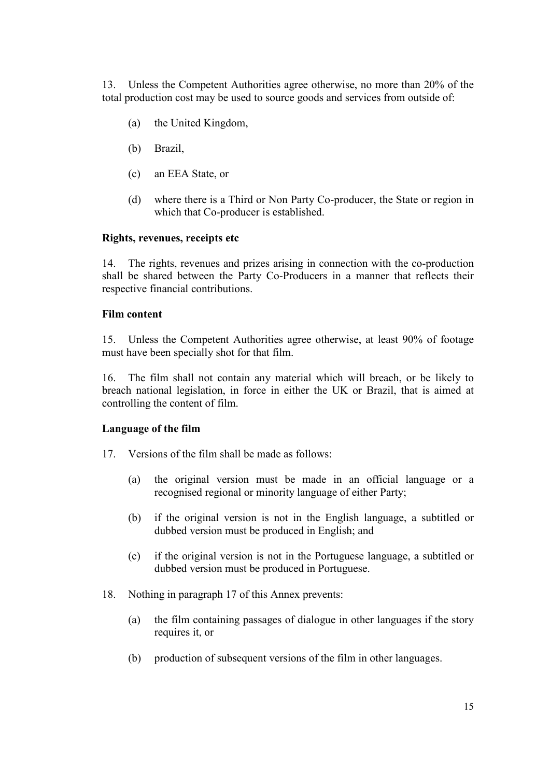13. Unless the Competent Authorities agree otherwise, no more than 20% of the total production cost may be used to source goods and services from outside of:

- (a) the United Kingdom,
- (b) Brazil,
- (c) an EEA State, or
- (d) where there is a Third or Non Party Co-producer, the State or region in which that Co-producer is established.

#### **Rights, revenues, receipts etc**

14. The rights, revenues and prizes arising in connection with the co-production shall be shared between the Party Co-Producers in a manner that reflects their respective financial contributions.

#### **Film content**

15. Unless the Competent Authorities agree otherwise, at least 90% of footage must have been specially shot for that film.

16. The film shall not contain any material which will breach, or be likely to breach national legislation, in force in either the UK or Brazil, that is aimed at controlling the content of film.

#### **Language of the film**

- 17. Versions of the film shall be made as follows:
	- (a) the original version must be made in an official language or a recognised regional or minority language of either Party;
	- (b) if the original version is not in the English language, a subtitled or dubbed version must be produced in English; and
	- (c) if the original version is not in the Portuguese language, a subtitled or dubbed version must be produced in Portuguese.
- 18. Nothing in paragraph 17 of this Annex prevents:
	- (a) the film containing passages of dialogue in other languages if the story requires it, or
	- (b) production of subsequent versions of the film in other languages.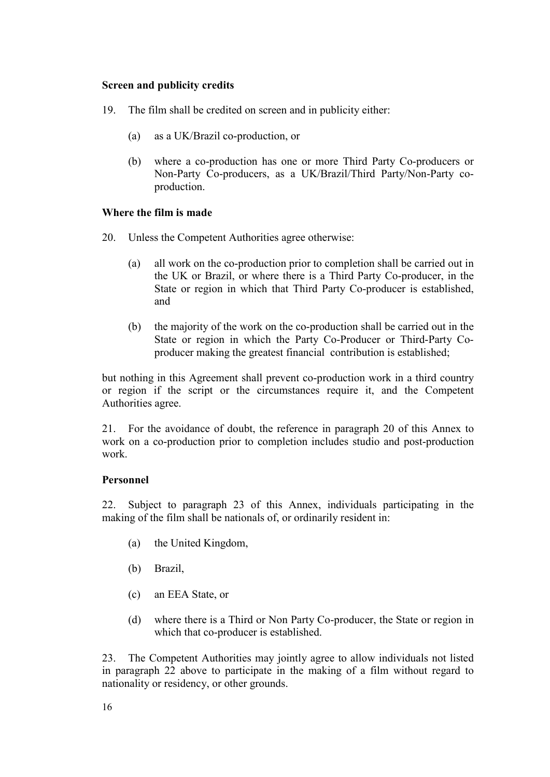#### **Screen and publicity credits**

- 19. The film shall be credited on screen and in publicity either:
	- (a) as a UK/Brazil co-production, or
	- (b) where a co-production has one or more Third Party Co-producers or Non-Party Co-producers, as a UK/Brazil/Third Party/Non-Party coproduction.

# **Where the film is made**

- 20. Unless the Competent Authorities agree otherwise:
	- (a) all work on the co-production prior to completion shall be carried out in the UK or Brazil, or where there is a Third Party Co-producer, in the State or region in which that Third Party Co-producer is established, and
	- (b) the majority of the work on the co-production shall be carried out in the State or region in which the Party Co-Producer or Third-Party Coproducer making the greatest financial contribution is established;

but nothing in this Agreement shall prevent co-production work in a third country or region if the script or the circumstances require it, and the Competent Authorities agree.

21. For the avoidance of doubt, the reference in paragraph 20 of this Annex to work on a co-production prior to completion includes studio and post-production work.

# **Personnel**

22. Subject to paragraph 23 of this Annex, individuals participating in the making of the film shall be nationals of, or ordinarily resident in:

- (a) the United Kingdom,
- (b) Brazil,
- (c) an EEA State, or
- (d) where there is a Third or Non Party Co-producer, the State or region in which that co-producer is established.

23. The Competent Authorities may jointly agree to allow individuals not listed in paragraph 22 above to participate in the making of a film without regard to nationality or residency, or other grounds.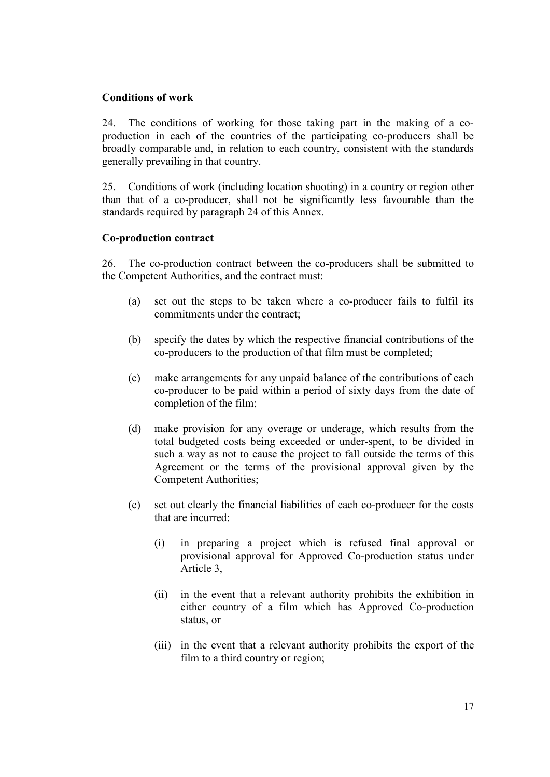# **Conditions of work**

24. The conditions of working for those taking part in the making of a coproduction in each of the countries of the participating co-producers shall be broadly comparable and, in relation to each country, consistent with the standards generally prevailing in that country.

25. Conditions of work (including location shooting) in a country or region other than that of a co-producer, shall not be significantly less favourable than the standards required by paragraph 24 of this Annex.

# **Co-production contract**

26. The co-production contract between the co-producers shall be submitted to the Competent Authorities, and the contract must:

- (a) set out the steps to be taken where a co-producer fails to fulfil its commitments under the contract;
- (b) specify the dates by which the respective financial contributions of the co-producers to the production of that film must be completed;
- (c) make arrangements for any unpaid balance of the contributions of each co-producer to be paid within a period of sixty days from the date of completion of the film;
- (d) make provision for any overage or underage, which results from the total budgeted costs being exceeded or under-spent, to be divided in such a way as not to cause the project to fall outside the terms of this Agreement or the terms of the provisional approval given by the Competent Authorities;
- (e) set out clearly the financial liabilities of each co-producer for the costs that are incurred:
	- (i) in preparing a project which is refused final approval or provisional approval for Approved Co-production status under Article 3,
	- (ii) in the event that a relevant authority prohibits the exhibition in either country of a film which has Approved Co-production status, or
	- (iii) in the event that a relevant authority prohibits the export of the film to a third country or region;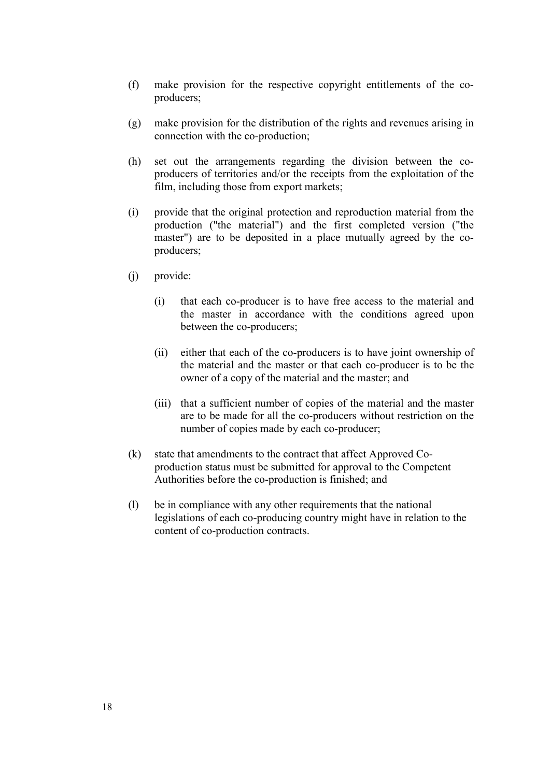- (f) make provision for the respective copyright entitlements of the coproducers;
- (g) make provision for the distribution of the rights and revenues arising in connection with the co-production;
- (h) set out the arrangements regarding the division between the coproducers of territories and/or the receipts from the exploitation of the film, including those from export markets;
- (i) provide that the original protection and reproduction material from the production ("the material") and the first completed version ("the master") are to be deposited in a place mutually agreed by the coproducers;
- (j) provide:
	- (i) that each co-producer is to have free access to the material and the master in accordance with the conditions agreed upon between the co-producers;
	- (ii) either that each of the co-producers is to have joint ownership of the material and the master or that each co-producer is to be the owner of a copy of the material and the master; and
	- (iii) that a sufficient number of copies of the material and the master are to be made for all the co-producers without restriction on the number of copies made by each co-producer;
- (k) state that amendments to the contract that affect Approved Coproduction status must be submitted for approval to the Competent Authorities before the co-production is finished; and
- (l) be in compliance with any other requirements that the national legislations of each co-producing country might have in relation to the content of co-production contracts.